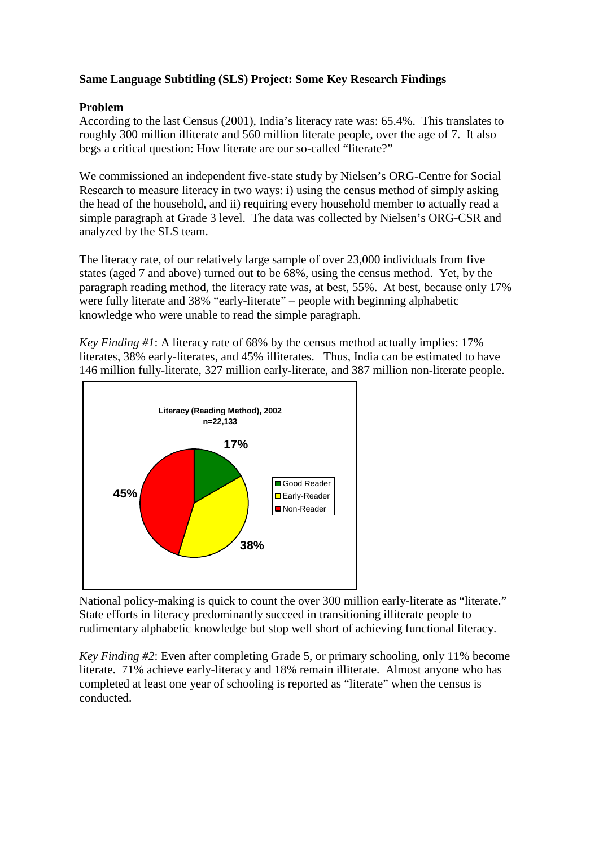## **Same Language Subtitling (SLS) Project: Some Key Research Findings**

## **Problem**

According to the last Census (2001), India's literacy rate was: 65.4%. This translates to roughly 300 million illiterate and 560 million literate people, over the age of 7. It also begs a critical question: How literate are our so-called "literate?"

We commissioned an independent five-state study by Nielsen's ORG-Centre for Social Research to measure literacy in two ways: i) using the census method of simply asking the head of the household, and ii) requiring every household member to actually read a simple paragraph at Grade 3 level. The data was collected by Nielsen's ORG-CSR and analyzed by the SLS team.

The literacy rate, of our relatively large sample of over 23,000 individuals from five states (aged 7 and above) turned out to be 68%, using the census method. Yet, by the paragraph reading method, the literacy rate was, at best, 55%. At best, because only 17% were fully literate and 38% "early-literate" – people with beginning alphabetic knowledge who were unable to read the simple paragraph.

*Key Finding #1*: A literacy rate of 68% by the census method actually implies: 17% literates, 38% early-literates, and 45% illiterates. Thus, India can be estimated to have 146 million fully-literate, 327 million early-literate, and 387 million non-literate people.



National policy-making is quick to count the over 300 million early-literate as "literate." State efforts in literacy predominantly succeed in transitioning illiterate people to rudimentary alphabetic knowledge but stop well short of achieving functional literacy.

*Key Finding #2*: Even after completing Grade 5, or primary schooling, only 11% become literate. 71% achieve early-literacy and 18% remain illiterate. Almost anyone who has completed at least one year of schooling is reported as "literate" when the census is conducted.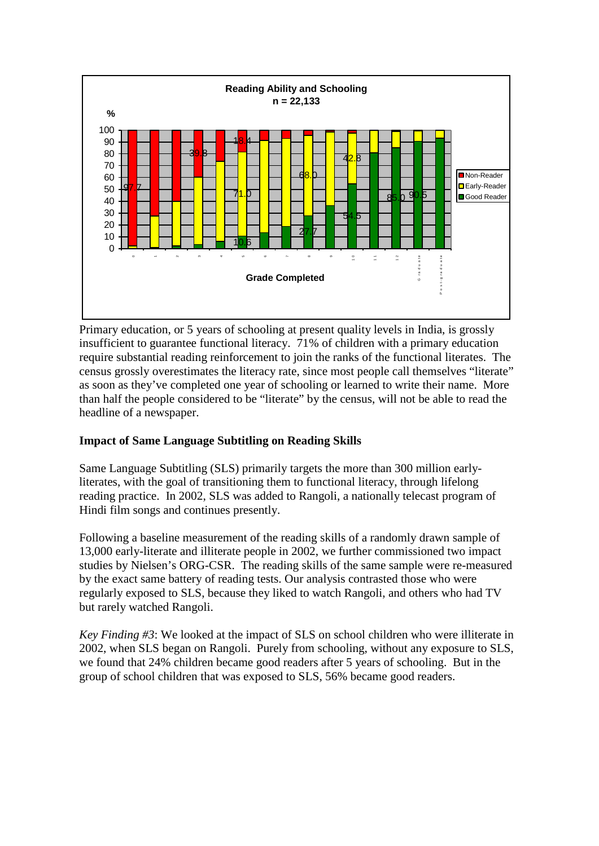

Primary education, or 5 years of schooling at present quality levels in India, is grossly insufficient to guarantee functional literacy. 71% of children with a primary education require substantial reading reinforcement to join the ranks of the functional literates. The census grossly overestimates the literacy rate, since most people call themselves "literate" as soon as they've completed one year of schooling or learned to write their name. More than half the people considered to be "literate" by the census, will not be able to read the headline of a newspaper.

## **Impact of Same Language Subtitling on Reading Skills**

Same Language Subtitling (SLS) primarily targets the more than 300 million earlyliterates, with the goal of transitioning them to functional literacy, through lifelong reading practice. In 2002, SLS was added to Rangoli, a nationally telecast program of Hindi film songs and continues presently.

Following a baseline measurement of the reading skills of a randomly drawn sample of 13,000 early-literate and illiterate people in 2002, we further commissioned two impact studies by Nielsen's ORG-CSR. The reading skills of the same sample were re-measured by the exact same battery of reading tests. Our analysis contrasted those who were regularly exposed to SLS, because they liked to watch Rangoli, and others who had TV but rarely watched Rangoli.

*Key Finding #3*: We looked at the impact of SLS on school children who were illiterate in 2002, when SLS began on Rangoli. Purely from schooling, without any exposure to SLS, we found that 24% children became good readers after 5 years of schooling. But in the group of school children that was exposed to SLS, 56% became good readers.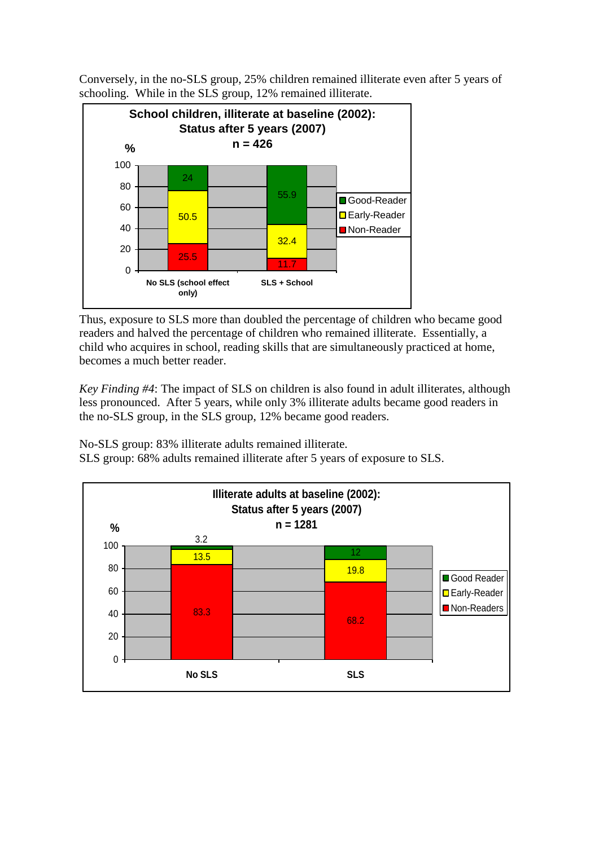Conversely, in the no-SLS group, 25% children remained illiterate even after 5 years of schooling. While in the SLS group, 12% remained illiterate.



Thus, exposure to SLS more than doubled the percentage of children who became good readers and halved the percentage of children who remained illiterate. Essentially, a child who acquires in school, reading skills that are simultaneously practiced at home, becomes a much better reader.

*Key Finding #4*: The impact of SLS on children is also found in adult illiterates, although less pronounced. After 5 years, while only 3% illiterate adults became good readers in the no-SLS group, in the SLS group, 12% became good readers.

No-SLS group: 83% illiterate adults remained illiterate. SLS group: 68% adults remained illiterate after 5 years of exposure to SLS.